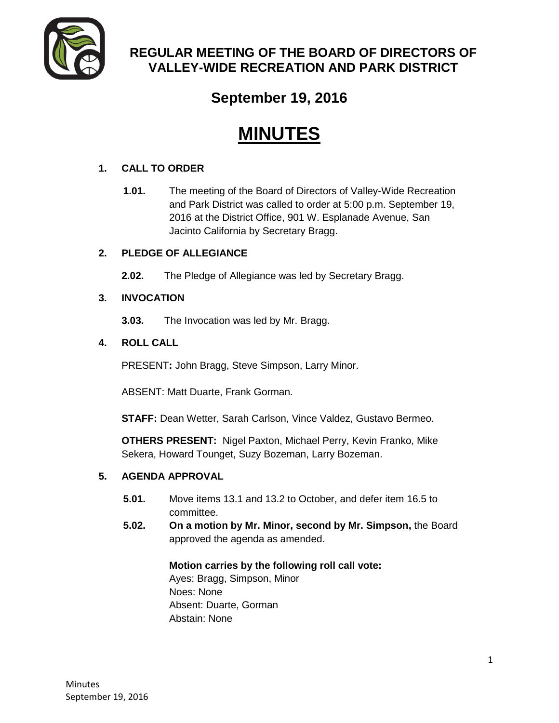

# **REGULAR MEETING OF THE BOARD OF DIRECTORS OF VALLEY-WIDE RECREATION AND PARK DISTRICT**

# **September 19, 2016**

# **MINUTES**

# **1. CALL TO ORDER**

**1.01.** The meeting of the Board of Directors of Valley-Wide Recreation and Park District was called to order at 5:00 p.m. September 19, 2016 at the District Office, 901 W. Esplanade Avenue, San Jacinto California by Secretary Bragg.

# **2. PLEDGE OF ALLEGIANCE**

**2.02.** The Pledge of Allegiance was led by Secretary Bragg.

# **3. INVOCATION**

**3.03.** The Invocation was led by Mr. Bragg.

# **4. ROLL CALL**

PRESENT**:** John Bragg, Steve Simpson, Larry Minor.

ABSENT: Matt Duarte, Frank Gorman.

**STAFF:** Dean Wetter, Sarah Carlson, Vince Valdez, Gustavo Bermeo.

**OTHERS PRESENT:** Nigel Paxton, Michael Perry, Kevin Franko, Mike Sekera, Howard Tounget, Suzy Bozeman, Larry Bozeman.

# **5. AGENDA APPROVAL**

- **5.01.** Move items 13.1 and 13.2 to October, and defer item 16.5 to committee.
- **5.02. On a motion by Mr. Minor, second by Mr. Simpson,** the Board approved the agenda as amended.

#### **Motion carries by the following roll call vote:**

Ayes: Bragg, Simpson, Minor Noes: None Absent: Duarte, Gorman Abstain: None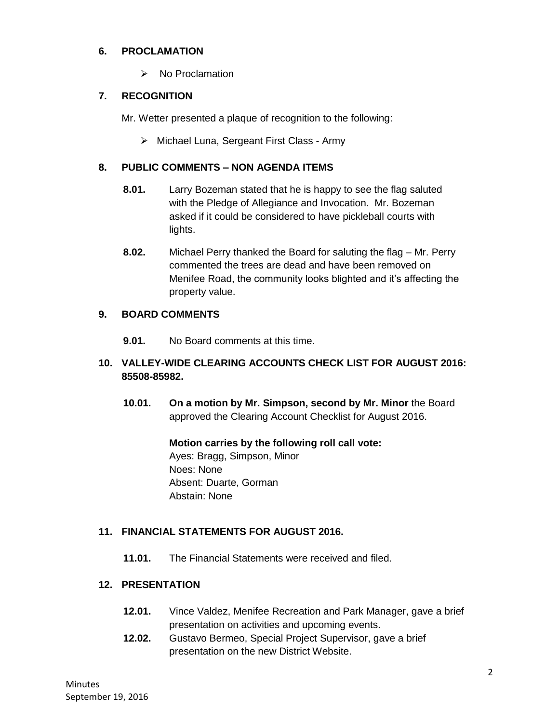#### **6. PROCLAMATION**

 $\triangleright$  No Proclamation

# **7. RECOGNITION**

Mr. Wetter presented a plaque of recognition to the following:

 $\triangleright$  Michael Luna, Sergeant First Class - Army

#### **8. PUBLIC COMMENTS – NON AGENDA ITEMS**

- **8.01.** Larry Bozeman stated that he is happy to see the flag saluted with the Pledge of Allegiance and Invocation. Mr. Bozeman asked if it could be considered to have pickleball courts with lights.
- **8.02.** Michael Perry thanked the Board for saluting the flag Mr. Perry commented the trees are dead and have been removed on Menifee Road, the community looks blighted and it's affecting the property value.

# **9. BOARD COMMENTS**

**9.01.** No Board comments at this time.

# **10. VALLEY-WIDE CLEARING ACCOUNTS CHECK LIST FOR AUGUST 2016: 85508-85982.**

**10.01. On a motion by Mr. Simpson, second by Mr. Minor** the Board approved the Clearing Account Checklist for August 2016.

#### **Motion carries by the following roll call vote:**

Ayes: Bragg, Simpson, Minor Noes: None Absent: Duarte, Gorman Abstain: None

# **11. FINANCIAL STATEMENTS FOR AUGUST 2016.**

**11.01.** The Financial Statements were received and filed.

#### **12. PRESENTATION**

- **12.01.** Vince Valdez, Menifee Recreation and Park Manager, gave a brief presentation on activities and upcoming events.
- **12.02.** Gustavo Bermeo, Special Project Supervisor, gave a brief presentation on the new District Website.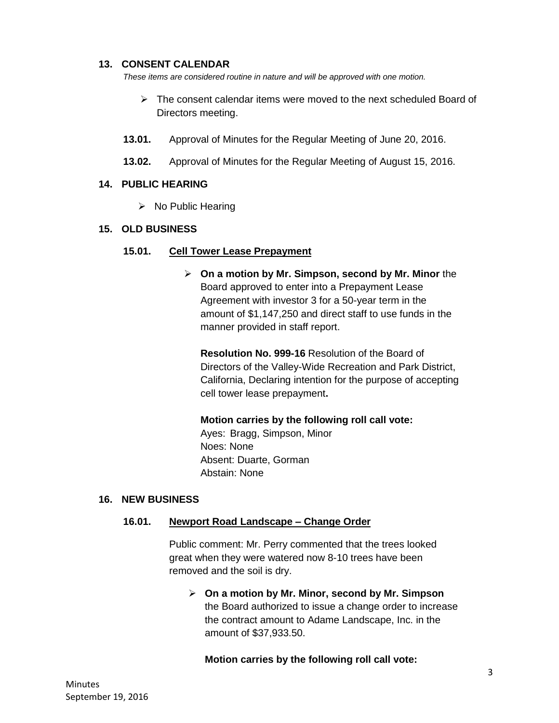#### **13. CONSENT CALENDAR**

*These items are considered routine in nature and will be approved with one motion.* 

- $\triangleright$  The consent calendar items were moved to the next scheduled Board of Directors meeting.
- **13.01.** Approval of Minutes for the Regular Meeting of June 20, 2016.
- **13.02.** Approval of Minutes for the Regular Meeting of August 15, 2016.

#### **14. PUBLIC HEARING**

 $\triangleright$  No Public Hearing

#### **15. OLD BUSINESS**

#### **15.01. Cell Tower Lease Prepayment**

 **On a motion by Mr. Simpson, second by Mr. Minor** the Board approved to enter into a Prepayment Lease Agreement with investor 3 for a 50-year term in the amount of \$1,147,250 and direct staff to use funds in the manner provided in staff report.

**Resolution No. 999-16** Resolution of the Board of Directors of the Valley-Wide Recreation and Park District, California, Declaring intention for the purpose of accepting cell tower lease prepayment**.**

**Motion carries by the following roll call vote:** 

Ayes: Bragg, Simpson, Minor Noes: None Absent: Duarte, Gorman Abstain: None

#### **16. NEW BUSINESS**

#### **16.01. Newport Road Landscape – Change Order**

Public comment: Mr. Perry commented that the trees looked great when they were watered now 8-10 trees have been removed and the soil is dry.

 **On a motion by Mr. Minor, second by Mr. Simpson** the Board authorized to issue a change order to increase the contract amount to Adame Landscape, Inc. in the amount of \$37,933.50.

#### **Motion carries by the following roll call vote:**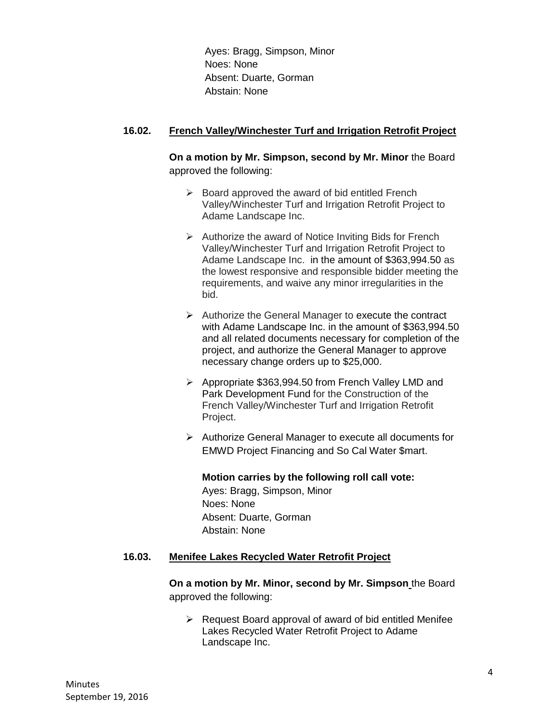Ayes: Bragg, Simpson, Minor Noes: None Absent: Duarte, Gorman Abstain: None

#### **16.02. French Valley/Winchester Turf and Irrigation Retrofit Project**

**On a motion by Mr. Simpson, second by Mr. Minor** the Board approved the following:

- $\triangleright$  Board approved the award of bid entitled French Valley/Winchester Turf and Irrigation Retrofit Project to Adame Landscape Inc.
- $\triangleright$  Authorize the award of Notice Inviting Bids for French Valley/Winchester Turf and Irrigation Retrofit Project to Adame Landscape Inc. in the amount of \$363,994.50 as the lowest responsive and responsible bidder meeting the requirements, and waive any minor irregularities in the bid.
- $\triangleright$  Authorize the General Manager to execute the contract with Adame Landscape Inc. in the amount of \$363,994.50 and all related documents necessary for completion of the project, and authorize the General Manager to approve necessary change orders up to \$25,000.
- ▶ Appropriate \$363,994.50 from French Valley LMD and Park Development Fund for the Construction of the French Valley/Winchester Turf and Irrigation Retrofit Project.
- $\triangleright$  Authorize General Manager to execute all documents for EMWD Project Financing and So Cal Water \$mart.

**Motion carries by the following roll call vote:**  Ayes: Bragg, Simpson, Minor Noes: None Absent: Duarte, Gorman Abstain: None

#### **16.03. Menifee Lakes Recycled Water Retrofit Project**

**On a motion by Mr. Minor, second by Mr. Simpson** the Board approved the following:

 $\triangleright$  Request Board approval of award of bid entitled Menifee Lakes Recycled Water Retrofit Project to Adame Landscape Inc.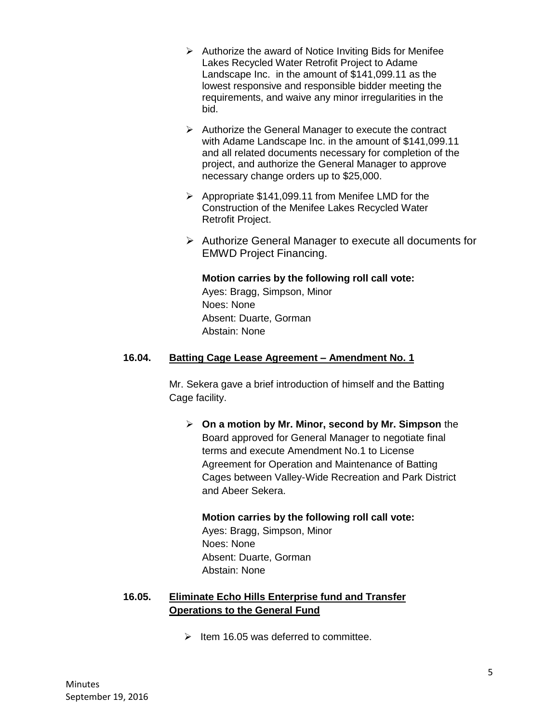- $\triangleright$  Authorize the award of Notice Inviting Bids for Menifee Lakes Recycled Water Retrofit Project to Adame Landscape Inc. in the amount of \$141,099.11 as the lowest responsive and responsible bidder meeting the requirements, and waive any minor irregularities in the bid.
- $\triangleright$  Authorize the General Manager to execute the contract with Adame Landscape Inc. in the amount of \$141,099.11 and all related documents necessary for completion of the project, and authorize the General Manager to approve necessary change orders up to \$25,000.
- Appropriate \$141,099.11 from Menifee LMD for the Construction of the Menifee Lakes Recycled Water Retrofit Project.
- Authorize General Manager to execute all documents for EMWD Project Financing.

#### **Motion carries by the following roll call vote:**

Ayes: Bragg, Simpson, Minor Noes: None Absent: Duarte, Gorman Abstain: None

# **16.04. Batting Cage Lease Agreement – Amendment No. 1**

Mr. Sekera gave a brief introduction of himself and the Batting Cage facility.

 **On a motion by Mr. Minor, second by Mr. Simpson** the Board approved for General Manager to negotiate final terms and execute Amendment No.1 to License Agreement for Operation and Maintenance of Batting Cages between Valley-Wide Recreation and Park District and Abeer Sekera.

#### **Motion carries by the following roll call vote:**

Ayes: Bragg, Simpson, Minor Noes: None Absent: Duarte, Gorman Abstain: None

# **16.05. Eliminate Echo Hills Enterprise fund and Transfer Operations to the General Fund**

 $\geq$  Item 16.05 was deferred to committee.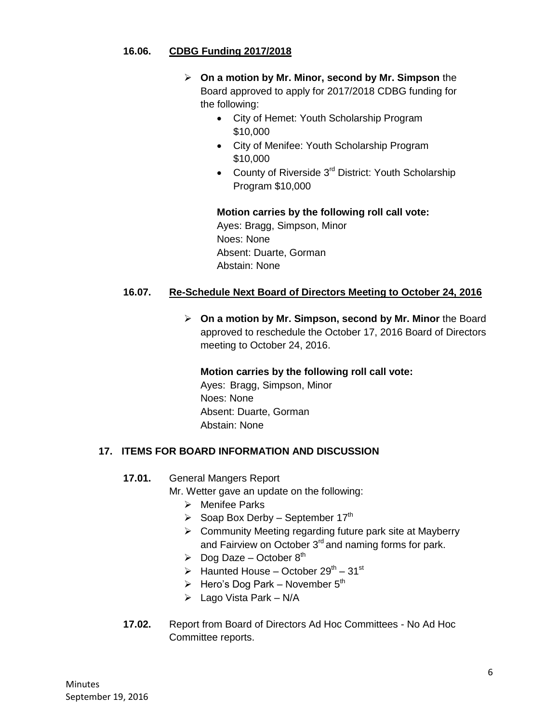#### **16.06. CDBG Funding 2017/2018**

- **On a motion by Mr. Minor, second by Mr. Simpson** the Board approved to apply for 2017/2018 CDBG funding for the following:
	- City of Hemet: Youth Scholarship Program \$10,000
	- City of Menifee: Youth Scholarship Program \$10,000
	- County of Riverside 3<sup>rd</sup> District: Youth Scholarship Program \$10,000

#### **Motion carries by the following roll call vote:**

Ayes: Bragg, Simpson, Minor Noes: None Absent: Duarte, Gorman Abstain: None

# **16.07. Re-Schedule Next Board of Directors Meeting to October 24, 2016**

 **On a motion by Mr. Simpson, second by Mr. Minor** the Board approved to reschedule the October 17, 2016 Board of Directors meeting to October 24, 2016.

**Motion carries by the following roll call vote:**  Ayes: Bragg, Simpson, Minor Noes: None Absent: Duarte, Gorman Abstain: None

#### **17. ITEMS FOR BOARD INFORMATION AND DISCUSSION**

**17.01.** General Mangers Report

Mr. Wetter gave an update on the following:

- > Menifee Parks
- $\triangleright$  Soap Box Derby September 17<sup>th</sup>
- $\triangleright$  Community Meeting regarding future park site at Mayberry and Fairview on October 3<sup>rd</sup> and naming forms for park.
- $\triangleright$  Dog Daze October 8<sup>th</sup>
- $\triangleright$  Haunted House October 29<sup>th</sup> 31<sup>st</sup>
- $\triangleright$  Hero's Dog Park November 5<sup>th</sup>
- $\triangleright$  Lago Vista Park N/A
- **17.02.** Report from Board of Directors Ad Hoc Committees No Ad Hoc Committee reports.